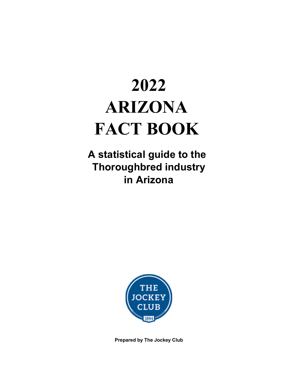# **2022 ARIZONA FACT BOOK**

**A statistical guide to the Thoroughbred industry in Arizona**



**Prepared by The Jockey Club**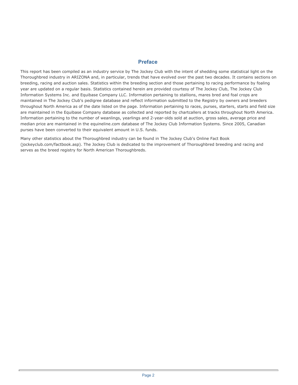#### **Preface**

This report has been compiled as an industry service by The Jockey Club with the intent of shedding some statistical light on the Thoroughbred industry in ARIZONA and, in particular, trends that have evolved over the past two decades. It contains sections on breeding, racing and auction sales. Statistics within the breeding section and those pertaining to racing performance by foaling year are updated on a regular basis. Statistics contained herein are provided courtesy of The Jockey Club, The Jockey Club Information Systems Inc. and Equibase Company LLC. Information pertaining to stallions, mares bred and foal crops are maintained in The Jockey Club's pedigree database and reflect information submitted to the Registry by owners and breeders throughout North America as of the date listed on the page. Information pertaining to races, purses, starters, starts and field size are maintained in the Equibase Company database as collected and reported by chartcallers at tracks throughout North America. Information pertaining to the number of weanlings, yearlings and 2-year-olds sold at auction, gross sales, average price and median price are maintained in the equineline.com database of The Jockey Club Information Systems. Since 2005, Canadian purses have been converted to their equivalent amount in U.S. funds.

Many other statistics about the Thoroughbred industry can be found in The Jockey Club's Online Fact Book (jockeyclub.com/factbook.asp). The Jockey Club is dedicated to the improvement of Thoroughbred breeding and racing and serves as the breed registry for North American Thoroughbreds.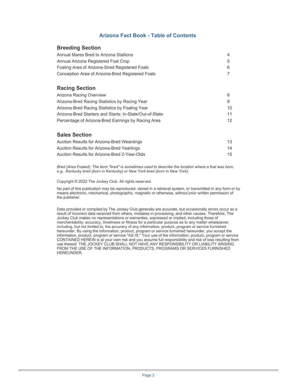#### **Arizona Fact Book - Table of Contents**

#### **Breeding Section**

| Annual Mares Bred to Arizona Stallions           |   |
|--------------------------------------------------|---|
| Annual Arizona Registered Foal Crop              | 5 |
| Foaling Area of Arizona-Sired Registered Foals   | 6 |
| Conception Area of Arizona-Bred Registered Foals |   |

#### **Racing Section**

| Arizona Racing Overview                                 |                 |
|---------------------------------------------------------|-----------------|
| Arizona-Bred Racing Statistics by Racing Year           | 9               |
| Arizona-Bred Racing Statistics by Foaling Year          | 10.             |
| Arizona-Bred Starters and Starts: In-State/Out-of-State | 11              |
| Percentage of Arizona-Bred Earnings by Racing Area      | 12 <sup>2</sup> |

#### **Sales Section**

| Auction Results for Arizona-Bred Weanlings   | 13 |
|----------------------------------------------|----|
| Auction Results for Arizona-Bred Yearlings   | 14 |
| Auction Results for Arizona-Bred 2-Year-Olds | 15 |

*Bred (Area Foaled): The term "bred" is sometimes used to describe the location where a foal was born, e.g., Kentucky bred (born in Kentucky) or New York bred (born in New York).* 

Copyright © 2022 The Jockey Club. All rights reserved.

No part of this publication may be reproduced, stored in a retrieval system, or transmitted in any form or by means electronic, mechanical, photographic, magnetic or otherwise, without prior written permission of the publisher.

Data provided or compiled by The Jockey Club generally are accurate, but occasionally errors occur as a result of incorrect data received from others, mistakes in processing, and other causes. Therefore, The Jockey Club makes no representations or warranties, expressed or implied, including those of merchantability, accuracy, timeliness or fitness for a particular purpose as to any matter whatsoever, including, but not limited to, the accuracy of any information, product, program or service furnished hereunder. By using the information, product, program or service furnished hereunder, you accept the information, product, program or service "AS IS." Your use of the information, product, program or service CONTAINED HEREIN is at your own risk and you assume full responsibility and risk of loss resulting from use thereof. THE JOCKEY CLUB SHALL NOT HAVE ANY RESPONSIBILITY OR LIABILITY ARISING FROM THE USE OF THE INFORMATION, PRODUCTS, PROGRAMS OR SERVICES FURNISHED HEREUNDER.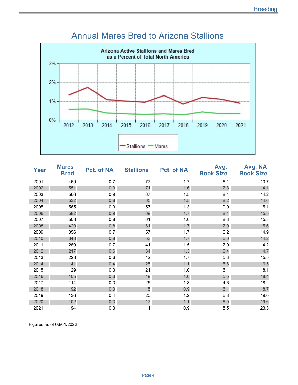

#### Annual Mares Bred to Arizona Stallions

| <b>Year</b> | <b>Mares</b><br><b>Bred</b> | <b>Pct. of NA</b> | <b>Stallions</b> | <b>Pct. of NA</b> | Avg.<br><b>Book Size</b> | Avg. NA<br><b>Book Size</b> |
|-------------|-----------------------------|-------------------|------------------|-------------------|--------------------------|-----------------------------|
| 2001        | 469                         | 0.7               | 77               | 1.7               | 6.1                      | 13.7                        |
| 2002        | 551                         | 0.9               | 71               | 1.6               | 7.8                      | 14.1                        |
| 2003        | 566                         | 0.9               | 67               | 1.5               | 8.4                      | 14.2                        |
| 2004        | 532                         | 0.8               | 65               | 1.5               | 8.2                      | 14.6                        |
| 2005        | 565                         | 0.9               | 57               | 1.3               | 9.9                      | 15.1                        |
| 2006        | 582                         | 0.9               | 69               | 1.7               | 8.4                      | 15.5                        |
| 2007        | 508                         | 0.8               | 61               | 1.6               | 8.3                      | 15.8                        |
| 2008        | 429                         | 0.8               | 61               | 1.7               | 7.0                      | 15.6                        |
| 2009        | 356                         | 0.7               | 57               | 1.7               | 6.2                      | 14.9                        |
| 2010        | 348                         | 0.8               | 53               | 1.7               | 6.6                      | 14.2                        |
| 2011        | 289                         | 0.7               | 41               | 1.5               | 7.0                      | 14.2                        |
| 2012        | 217                         | 0.6               | 34               | 1.3               | 6.4                      | 14.7                        |
| 2013        | 223                         | 0.6               | 42               | 1.7               | 5.3                      | 15.5                        |
| 2014        | 141                         | 0.4               | 25               | 1.1               | 5.6                      | 16.5                        |
| 2015        | 129                         | 0.3               | 21               | 1.0               | 6.1                      | 18.1                        |
| 2016        | 105                         | 0.3               | 19               | 1.0               | 5.5                      | 18.4                        |
| 2017        | 114                         | 0.3               | 25               | 1.3               | 4.6                      | 18.2                        |
| 2018        | 92                          | 0.3               | 15               | 0.9               | 6.1                      | 18.7                        |
| 2019        | 136                         | 0.4               | 20               | 1.2               | 6.8                      | 19.0                        |
| 2020        | 102                         | 0.3               | 17               | 1.1               | 6.0                      | 19.6                        |
| 2021        | 94                          | 0.3               | 11               | 0.9               | 8.5                      | 23.3                        |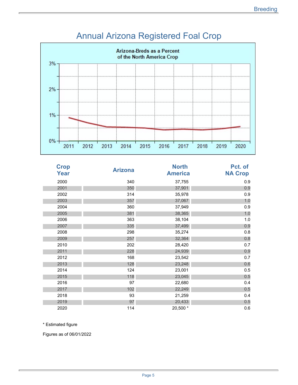

# Annual Arizona Registered Foal Crop

| <b>Crop</b><br>Year | <b>Arizona</b> | <b>North</b><br><b>America</b> | Pct. of<br><b>NA Crop</b> |
|---------------------|----------------|--------------------------------|---------------------------|
| 2000                | 340            | 37,755                         | 0.9                       |
| 2001                | 350            | 37,901                         | 0.9                       |
| 2002                | 314            | 35,978                         | 0.9                       |
| 2003                | 357            | 37,067                         | 1.0                       |
| 2004                | 360            | 37,949                         | 0.9                       |
| 2005                | 381            | 38,365                         | 1.0                       |
| 2006                | 363            | 38,104                         | 1.0                       |
| 2007                | 335            | 37,499                         | 0.9                       |
| 2008                | 298            | 35,274                         | 0.8                       |
| 2009                | 257            | 32,364                         | 0.8                       |
| 2010                | 202            | 28,420                         | 0.7                       |
| 2011                | 228            | 24,939                         | 0.9                       |
| 2012                | 168            | 23,542                         | 0.7                       |
| 2013                | 128            | 23,248                         | 0.6                       |
| 2014                | 124            | 23,001                         | 0.5                       |
| 2015                | 118            | 23,045                         | 0.5                       |
| 2016                | 97             | 22,680                         | 0.4                       |
| 2017                | 102            | 22,249                         | 0.5                       |
| 2018                | 93             | 21,259                         | 0.4                       |
| 2019                | 97             | 20,433                         | 0.5                       |
| 2020                | 114            | 20,500 *                       | 0.6                       |

\* Estimated figure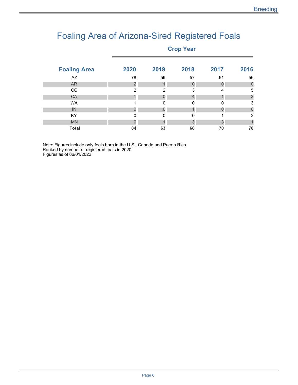### Foaling Area of Arizona-Sired Registered Foals

#### **Crop Year**

| <b>Foaling Area</b> | 2020 | 2019     | 2018 | 2017 | 2016 |
|---------------------|------|----------|------|------|------|
| AZ                  | 78   | 59       | 57   | 61   | 56   |
| <b>AR</b>           | 2    |          |      |      | 0    |
| CO                  | 2    | 2        | 3    | 4    | 5    |
| CA                  |      |          |      |      | 3    |
| <b>WA</b>           |      | $\Omega$ | 0    | O    | 3    |
| IN                  |      |          |      |      | O    |
| KY                  | 0    | $\Omega$ | 0    |      | 2    |
| <b>MN</b>           |      |          | 2    | 3    |      |
| <b>Total</b>        | 84   | 63       | 68   | 70   | 70   |

Note: Figures include only foals born in the U.S., Canada and Puerto Rico. Ranked by number of registered foals in 2020 Figures as of 06/01/2022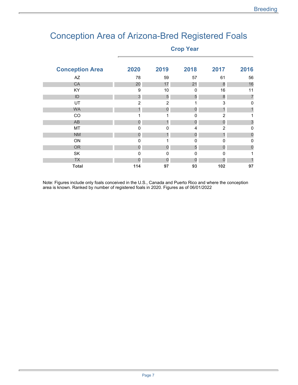### Conception Area of Arizona-Bred Registered Foals

**Crop Year** 

| <b>Conception Area</b> | 2020           | 2019           | 2018           | 2017             | 2016     |
|------------------------|----------------|----------------|----------------|------------------|----------|
| AZ                     | 78             | 59             | 57             | 61               | 56       |
| CA                     | 20             | 17             | 21             | 8                | 16       |
| KY                     | 9              | 10             | 0              | 16               | 11       |
| ID                     | $\mathfrak{S}$ | 5              | 5              | $\boldsymbol{8}$ | 7        |
| UT                     | $\overline{2}$ | $\overline{2}$ |                | 3                | 0        |
| <b>WA</b>              |                | 0              | 0              |                  |          |
| CO                     |                | 1              | 0              | $\overline{2}$   |          |
| AB                     | 0              | 1              | $\overline{0}$ | $\overline{0}$   | 3        |
| MT                     | 0              | 0              | $\overline{4}$ | $\overline{2}$   | 0        |
| <b>NM</b>              | O              |                | 0              |                  | 0        |
| ON                     | $\Omega$       | 1              | $\mathbf 0$    | $\Omega$         | $\Omega$ |
| <b>OR</b>              | 0              | O              | 5              | $\Omega$         | 0        |
| <b>SK</b>              | $\mathbf{0}$   | $\mathbf 0$    | $\mathbf 0$    | 0                |          |
| <b>TX</b>              |                |                |                |                  |          |
| <b>Total</b>           | 114            | 97             | 93             | 102              | 97       |

Note: Figures include only foals conceived in the U.S., Canada and Puerto Rico and where the conception area is known. Ranked by number of registered foals in 2020. Figures as of 06/01/2022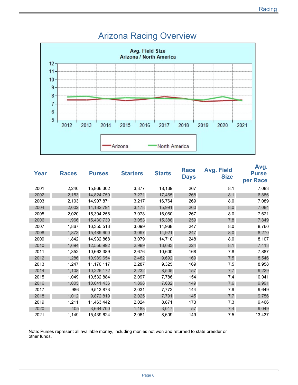

#### Arizona Racing Overview

| Year | <b>Races</b> | <b>Purses</b> | <b>Starters</b> | <b>Starts</b> | <b>Race</b><br><b>Days</b> | <b>Avg. Field</b><br><b>Size</b> | Avg.<br><b>Purse</b><br>per Race |
|------|--------------|---------------|-----------------|---------------|----------------------------|----------------------------------|----------------------------------|
| 2001 | 2,240        | 15,866,302    | 3,377           | 18,139        | 267                        | 8.1                              | 7,083                            |
| 2002 | 2,153        | 14,824,750    | 3,271           | 17,465        | 268                        | 8.1                              | 6,886                            |
| 2003 | 2,103        | 14,907,871    | 3,217           | 16,764        | 269                        | 8.0                              | 7,089                            |
| 2004 | 2,002        | 14, 182, 791  | 3,178           | 15,991        | 260                        | 8.0                              | 7,084                            |
| 2005 | 2,020        | 15,394,256    | 3,078           | 16,060        | 267                        | 8.0                              | 7,621                            |
| 2006 | 1,966        | 15,430,730    | 3,053           | 15,388        | 259                        | 7.8                              | 7,849                            |
| 2007 | 1,867        | 16,355,513    | 3,099           | 14,968        | 247                        | 8.0                              | 8,760                            |
| 2008 | 1,873        | 15,489,600    | 3,097           | 14,921        | 247                        | 8.0                              | 8,270                            |
| 2009 | 1,842        | 14,932,868    | 3,079           | 14,710        | 248                        | 8.0                              | 8,107                            |
| 2010 | 1,694        | 12,556,992    | 2,989           | 13,683        | 224                        | 8.1                              | 7,413                            |
| 2011 | 1,352        | 10,663,389    | 2,676           | 10,600        | 168                        | 7.8                              | 7,887                            |
| 2012 | 1,286        | 10,989,654    | 2,482           | 9,692         | 169                        | 7.5                              | 8,546                            |
| 2013 | 1,247        | 11,170,117    | 2,287           | 9,325         | 169                        | 7.5                              | 8,958                            |
| 2014 | 1,108        | 10,226,172    | 2,232           | 8,505         | 157                        | 7.7                              | 9,229                            |
| 2015 | 1,049        | 10,532,884    | 2,097           | 7,786         | 154                        | 7.4                              | 10,041                           |
| 2016 | 1,005        | 10,041,436    | 1,898           | 7,632         | 149                        | 7.6                              | 9,991                            |
| 2017 | 986          | 9,513,873     | 2,031           | 7,772         | 144                        | 7.9                              | 9,649                            |
| 2018 | 1,012        | 9,872,819     | 2,025           | 7,791         | 145                        | 7.7                              | 9,756                            |
| 2019 | 1,211        | 11,463,442    | 2,024           | 8,871         | 173                        | 7.3                              | 9,466                            |
| 2020 | 405          | 3,664,700     | 1,183           | 3,017         | 57                         | 7.4                              | 9,049                            |
| 2021 | 1,149        | 15,439,624    | 2,061           | 8,609         | 149                        | 7.5                              | 13,437                           |

Note: Purses represent all available money, including monies not won and returned to state breeder or other funds.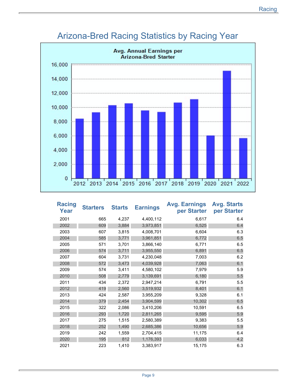

### Arizona-Bred Racing Statistics by Racing Year

| <b>Racing</b><br>Year | <b>Starters</b> | <b>Starts</b> | <b>Earnings</b> | <b>Avg. Earnings</b><br>per Starter | <b>Avg. Starts</b><br>per Starter |
|-----------------------|-----------------|---------------|-----------------|-------------------------------------|-----------------------------------|
| 2001                  | 665             | 4,237         | 4,400,112       | 6,617                               | 6.4                               |
| 2002                  | 609             | 3,884         | 3,973,851       | 6,525                               | 6.4                               |
| 2003                  | 607             | 3,815         | 4,008,701       | 6,604                               | 6.3                               |
| 2004                  | 585             | 3,771         | 3,961,851       | 6,772                               | 6.5                               |
| 2005                  | 571             | 3,701         | 3,866,140       | 6,771                               | 6.5                               |
| 2006                  | 574             | 3,711         | 3,955,550       | 6,891                               | 6.5                               |
| 2007                  | 604             | 3,731         | 4,230,048       | 7,003                               | 6.2                               |
| 2008                  | 572             | 3,473         | 4,039,928       | 7,063                               | 6.1                               |
| 2009                  | 574             | 3,411         | 4,580,102       | 7,979                               | 5.9                               |
| 2010                  | 508             | 2,779         | 3,139,691       | 6,180                               | 5.5                               |
| 2011                  | 434             | 2,372         | 2,947,214       | 6,791                               | 5.5                               |
| 2012                  | 419             | 2,560         | 3,519,932       | 8,401                               | 6.1                               |
| 2013                  | 424             | 2,587         | 3,955,209       | 9,328                               | 6.1                               |
| 2014                  | 379             | 2,454         | 3,904,599       | 10,302                              | 6.5                               |
| 2015                  | 322             | 2,086         | 3,410,206       | 10,591                              | 6.5                               |
| 2016                  | 293             | 1,720         | 2,811,265       | 9,595                               | 5.9                               |
| 2017                  | 275             | 1,515         | 2,580,389       | 9,383                               | 5.5                               |
| 2018                  | 252             | 1,490         | 2,685,386       | 10,656                              | 5.9                               |
| 2019                  | 242             | 1,559         | 2,704,415       | 11,175                              | 6.4                               |
| 2020                  | 195             | 812           | 1,176,393       | 6,033                               | 4.2                               |
| 2021                  | 223             | 1,410         | 3,383,917       | 15,175                              | 6.3                               |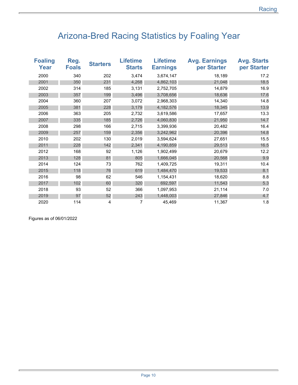## Arizona-Bred Racing Statistics by Foaling Year

| <b>Foaling</b><br>Year | Reg.<br><b>Foals</b> | <b>Starters</b> | <b>Lifetime</b><br><b>Starts</b> | <b>Lifetime</b><br><b>Earnings</b> | <b>Avg. Earnings</b><br>per Starter | <b>Avg. Starts</b><br>per Starter |
|------------------------|----------------------|-----------------|----------------------------------|------------------------------------|-------------------------------------|-----------------------------------|
| 2000                   | 340                  | 202             | 3,474                            | 3,674,147                          | 18,189                              | 17.2                              |
| 2001                   | 350                  | 231             | 4,268                            | 4,862,103                          | 21,048                              | 18.5                              |
| 2002                   | 314                  | 185             | 3,131                            | 2,752,705                          | 14,879                              | 16.9                              |
| 2003                   | 357                  | 199             | 3,496                            | 3,708,656                          | 18,636                              | 17.6                              |
| 2004                   | 360                  | 207             | 3,072                            | 2,968,303                          | 14,340                              | 14.8                              |
| 2005                   | 381                  | 228             | 3,179                            | 4,182,576                          | 18,345                              | 13.9                              |
| 2006                   | 363                  | 205             | 2,732                            | 3,619,586                          | 17,657                              | 13.3                              |
| 2007                   | 335                  | 185             | 2,726                            | 4,060,830                          | 21,950                              | 14.7                              |
| 2008                   | 298                  | 166             | 2,715                            | 3,399,936                          | 20,482                              | 16.4                              |
| 2009                   | 257                  | 159             | 2,356                            | 3,242,962                          | 20,396                              | 14.8                              |
| 2010                   | 202                  | 130             | 2,019                            | 3,594,624                          | 27,651                              | 15.5                              |
| 2011                   | 228                  | 142             | 2,341                            | 4,190,859                          | 29,513                              | 16.5                              |
| 2012                   | 168                  | 92              | 1,126                            | 1,902,499                          | 20,679                              | 12.2                              |
| 2013                   | 128                  | 81              | 805                              | 1,666,045                          | 20,568                              | 9.9                               |
| 2014                   | 124                  | 73              | 762                              | 1,409,725                          | 19,311                              | 10.4                              |
| 2015                   | 118                  | 76              | 619                              | 1,484,470                          | 19,533                              | 8.1                               |
| 2016                   | 98                   | 62              | 546                              | 1,154,431                          | 18,620                              | 8.8                               |
| 2017                   | 102                  | 60              | 320                              | 692,597                            | 11,543                              | 5.3                               |
| 2018                   | 93                   | 52              | 366                              | 1,097,953                          | 21,114                              | 7.0                               |
| 2019                   | 97                   | 52              | 243                              | 1,448,003                          | 27,846                              | 4.7                               |
| 2020                   | 114                  | 4               | 7                                | 45,469                             | 11,367                              | 1.8                               |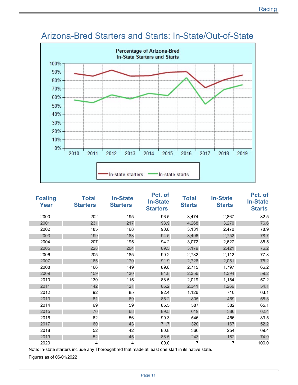

#### Arizona-Bred Starters and Starts: In-State/Out-of-State

| <b>Foaling</b><br><b>Year</b> | <b>Total</b><br><b>Starters</b> | <b>In-State</b><br><b>Starters</b> | Pct. of<br><b>In-State</b><br><b>Starters</b> | <b>Total</b><br><b>Starts</b> | <b>In-State</b><br><b>Starts</b> | Pct. of<br><b>In-State</b><br><b>Starts</b> |
|-------------------------------|---------------------------------|------------------------------------|-----------------------------------------------|-------------------------------|----------------------------------|---------------------------------------------|
| 2000                          | 202                             | 195                                | 96.5                                          | 3,474                         | 2,867                            | 82.5                                        |
| 2001                          | 231                             | 217                                | 93.9                                          | 4,268                         | 3,270                            | 76.6                                        |
| 2002                          | 185                             | 168                                | 90.8                                          | 3,131                         | 2,470                            | 78.9                                        |
| 2003                          | 199                             | 188                                | 94.5                                          | 3,496                         | 2,752                            | 78.7                                        |
| 2004                          | 207                             | 195                                | 94.2                                          | 3,072                         | 2,627                            | 85.5                                        |
| 2005                          | 228                             | 204                                | 89.5                                          | 3,179                         | 2,421                            | 76.2                                        |
| 2006                          | 205                             | 185                                | 90.2                                          | 2,732                         | 2,112                            | 77.3                                        |
| 2007                          | 185                             | 170                                | 91.9                                          | 2,726                         | 2,051                            | 75.2                                        |
| 2008                          | 166                             | 149                                | 89.8                                          | 2,715                         | 1,797                            | 66.2                                        |
| 2009                          | 159                             | 130                                | 81.8                                          | 2,356                         | 1,394                            | 59.2                                        |
| 2010                          | 130                             | 115                                | 88.5                                          | 2,019                         | 1,154                            | 57.2                                        |
| 2011                          | 142                             | 121                                | 85.2                                          | 2,341                         | 1,266                            | 54.1                                        |
| 2012                          | 92                              | 85                                 | 92.4                                          | 1,126                         | 710                              | 63.1                                        |
| 2013                          | 81                              | 69                                 | 85.2                                          | 805                           | 469                              | 58.3                                        |
| 2014                          | 69                              | 59                                 | 85.5                                          | 587                           | 382                              | 65.1                                        |
| 2015                          | 76                              | 68                                 | 89.5                                          | 619                           | 386                              | 62.4                                        |
| 2016                          | 62                              | 56                                 | 90.3                                          | 546                           | 456                              | 83.5                                        |
| 2017                          | 60                              | 43                                 | 71.7                                          | 320                           | 167                              | 52.2                                        |
| 2018                          | 52                              | 42                                 | 80.8                                          | 366                           | 254                              | 69.4                                        |
| 2019                          | 52                              | 45                                 | 86.5                                          | 243                           | 182                              | 74.9                                        |
| 2020                          | 4                               | 4                                  | 100.0                                         | 7                             | 7                                | 100.0                                       |

Note: In-state starters include any Thoroughbred that made at least one start in its native state.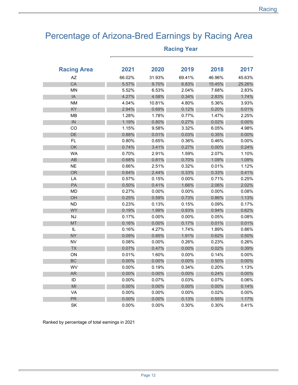### Percentage of Arizona-Bred Earnings by Racing Area

| <b>Racing Area</b> | 2021     | 2020   | 2019     | 2018     | 2017     |
|--------------------|----------|--------|----------|----------|----------|
| AZ                 | 66.02%   | 31.93% | 69.41%   | 46.96%   | 45.63%   |
| CA                 | 5.57%    | 9.70%  | 6.83%    | 15.45%   | 25.26%   |
| <b>MN</b>          | 5.52%    | 6.53%  | 2.04%    | 7.68%    | 2.83%    |
| IA                 | 4.27%    | 4.58%  | 0.34%    | 2.83%    | 1.74%    |
| <b>NM</b>          | 4.04%    | 10.81% | 4.80%    | 5.36%    | 3.93%    |
| KY                 | 2.94%    | 0.69%  | 0.12%    | 0.20%    | 0.01%    |
| MB                 | 1.28%    | 1.78%  | 0.77%    | 1.47%    | 2.25%    |
| IN                 | 1.19%    | 0.80%  | 0.27%    | 0.02%    | 0.00%    |
| CO                 | 1.15%    | 9.58%  | 3.32%    | 6.05%    | 4.98%    |
| DE                 | 0.88%    | 0.01%  | 0.03%    | 0.35%    | $0.00\%$ |
| <b>FL</b>          | 0.80%    | 0.65%  | 0.36%    | 0.46%    | $0.00\%$ |
| OK                 | 0.74%    | 3.41%  | 0.27%    | 0.00%    | 0.24%    |
| <b>WA</b>          | 0.70%    | 2.91%  | 1.59%    | 2.07%    | 1.10%    |
| AB                 | 0.68%    | 0.81%  | 0.70%    | 1.09%    | 1.09%    |
| NE                 | 0.66%    | 2.51%  | 0.32%    | 0.01%    | 1.12%    |
| OR                 | 0.64%    | 2.44%  | 0.33%    | 0.33%    | 0.41%    |
| LA                 | 0.57%    | 0.15%  | 0.00%    | 0.71%    | 0.25%    |
| PA                 | 0.50%    | 0.41%  | 1.66%    | 2.06%    | 2.02%    |
| <b>MD</b>          | 0.27%    | 0.00%  | 0.00%    | 0.00%    | 0.08%    |
| OH                 | 0.25%    | 0.59%  | 0.73%    | 0.86%    | 1.13%    |
| <b>ND</b>          | 0.23%    | 0.13%  | 0.15%    | 0.09%    | 0.17%    |
| <b>WY</b>          | 0.19%    | 1.99%  | 0.93%    | 0.94%    | 0.62%    |
| <b>NJ</b>          | 0.17%    | 0.00%  | 0.00%    | 0.05%    | 0.08%    |
| <b>MT</b>          | 0.16%    | 0.00%  | 0.17%    | 0.01%    | 0.01%    |
| IL                 | 0.16%    | 4.27%  | 1.74%    | 1.89%    | 0.86%    |
| NY                 | 0.09%    | 0.85%  | 1.91%    | 0.62%    | 0.50%    |
| <b>NV</b>          | 0.08%    | 0.00%  | 0.26%    | 0.23%    | 0.26%    |
| <b>TX</b>          | 0.07%    | 0.47%  | 0.00%    | 0.02%    | 0.39%    |
| ON                 | 0.01%    | 1.60%  | 0.00%    | 0.14%    | 0.00%    |
| BC                 | 0.00%    | 0.00%  | 0.00%    | 0.50%    | $0.00\%$ |
| WV                 | 0.00%    | 0.19%  | 0.34%    | 0.20%    | 1.13%    |
| <b>AR</b>          | 0.00%    | 0.00%  | 0.00%    | 0.24%    | 0.00%    |
| ID                 | $0.00\%$ | 0.07%  | 0.03%    | 0.07%    | 0.06%    |
| MI                 | 0.00%    | 0.00%  | 0.00%    | $0.00\%$ | 0.14%    |
| VA                 | $0.00\%$ | 0.00%  | $0.00\%$ | 0.02%    | 0.00%    |
| <b>PR</b>          | 0.00%    | 0.00%  | 0.13%    | 0.55%    | 1.17%    |
| SK                 | 0.00%    | 0.00%  | 0.30%    | 0.30%    | 0.41%    |

#### **Racing Year**

Ranked by percentage of total earnings in 2021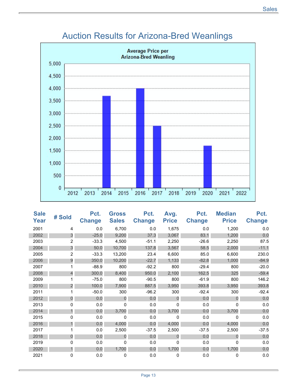

### Auction Results for Arizona-Bred Weanlings

| <b>Sale</b><br>Year | # Sold         | Pct.<br><b>Change</b> | <b>Gross</b><br><b>Sales</b> | Pct.<br><b>Change</b> | Avg.<br><b>Price</b> | Pct.<br><b>Change</b> | <b>Median</b><br><b>Price</b> | Pct.<br><b>Change</b> |
|---------------------|----------------|-----------------------|------------------------------|-----------------------|----------------------|-----------------------|-------------------------------|-----------------------|
| 2001                | 4              | 0.0                   | 6,700                        | 0.0                   | 1,675                | 0.0                   | 1,200                         | 0.0                   |
| 2002                | 3              | $-25.0$               | 9,200                        | 37.3                  | 3,067                | 83.1                  | 1,200                         | 0.0                   |
| 2003                | 2              | $-33.3$               | 4,500                        | $-51.1$               | 2,250                | $-26.6$               | 2,250                         | 87.5                  |
| 2004                | 3              | 50.0                  | 10,700                       | 137.8                 | 3,567                | 58.5                  | 2,000                         | $-11.1$               |
| 2005                | $\overline{2}$ | $-33.3$               | 13,200                       | 23.4                  | 6,600                | 85.0                  | 6,600                         | 230.0                 |
| 2006                | 9              | 350.0                 | 10,200                       | $-22.7$               | 1,133                | $-82.8$               | 1,000                         | $-84.9$               |
| 2007                |                | $-88.9$               | 800                          | $-92.2$               | 800                  | $-29.4$               | 800                           | $-20.0$               |
| 2008                | $\overline{4}$ | 300.0                 | 8,400                        | 950.0                 | 2,100                | 162.5                 | 325                           | $-59.4$               |
| 2009                |                | $-75.0$               | 800                          | $-90.5$               | 800                  | $-61.9$               | 800                           | 146.2                 |
| 2010                | 2              | 100.0                 | 7,900                        | 887.5                 | 3,950                | 393.8                 | 3,950                         | 393.8                 |
| 2011                |                | $-50.0$               | 300                          | $-96.2$               | 300                  | $-92.4$               | 300                           | $-92.4$               |
| 2012                | $\overline{0}$ | 0.0                   | $\overline{0}$               | 0.0                   | $\overline{0}$       | 0.0                   | $\Omega$                      | 0.0                   |
| 2013                | 0              | 0.0                   | 0                            | 0.0                   | 0                    | 0.0                   | $\Omega$                      | 0.0                   |
| 2014                | 1              | 0.0                   | 3,700                        | 0.0                   | 3,700                | 0.0                   | 3,700                         | 0.0                   |
| 2015                | 0              | 0.0                   | 0                            | 0.0                   | 0                    | 0.0                   | $\mathbf{0}$                  | 0.0                   |
| 2016                |                | 0.0                   | 4,000                        | 0.0                   | 4,000                | 0.0                   | 4,000                         | 0.0                   |
| 2017                |                | 0.0                   | 2,500                        | $-37.5$               | 2,500                | $-37.5$               | 2,500                         | $-37.5$               |
| 2018                | $\mathbf 0$    | 0.0                   | $\overline{0}$               | 0.0                   | $\Omega$             | 0.0                   | $\Omega$                      | 0.0                   |
| 2019                | 0              | 0.0                   | 0                            | 0.0                   | 0                    | 0.0                   | 0                             | 0.0                   |
| 2020                | 1              | 0.0                   | 1,700                        | 0.0                   | 1,700                | 0.0                   | 1,700                         | 0.0                   |
| 2021                | 0              | 0.0                   | 0                            | 0.0                   | 0                    | 0.0                   | $\mathbf{0}$                  | 0.0                   |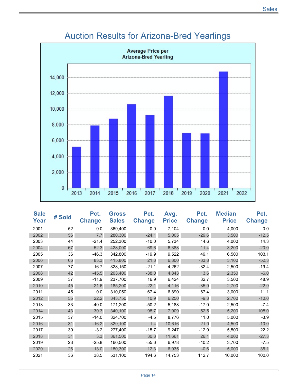

### Auction Results for Arizona-Bred Yearlings

| <b>Sale</b><br>Year | # Sold | Pct.<br><b>Change</b> | <b>Gross</b><br><b>Sales</b> | Pct.<br><b>Change</b> | Avg.<br><b>Price</b> | Pct.<br><b>Change</b> | <b>Median</b><br><b>Price</b> | Pct.<br><b>Change</b> |
|---------------------|--------|-----------------------|------------------------------|-----------------------|----------------------|-----------------------|-------------------------------|-----------------------|
| 2001                | 52     | 0.0                   | 369,400                      | 0.0                   | 7,104                | 0.0                   | 4,000                         | 0.0                   |
| 2002                | 56     | 7.7                   | 280,300                      | $-24.1$               | 5,005                | $-29.6$               | 3,500                         | $-12.5$               |
| 2003                | 44     | $-21.4$               | 252,300                      | $-10.0$               | 5,734                | 14.6                  | 4,000                         | 14.3                  |
| 2004                | 67     | 52.3                  | 428,000                      | 69.6                  | 6,388                | 11.4                  | 3,200                         | $-20.0$               |
| 2005                | 36     | $-46.3$               | 342,800                      | $-19.9$               | 9,522                | 49.1                  | 6,500                         | 103.1                 |
| 2006                | 66     | 83.3                  | 415,800                      | 21.3                  | 6,300                | $-33.8$               | 3,100                         | $-52.3$               |
| 2007                | 77     | 16.7                  | 328,150                      | $-21.1$               | 4,262                | $-32.4$               | 2,500                         | $-19.4$               |
| 2008                | 42     | $-45.5$               | 203,400                      | $-38.0$               | 4,843                | 13.6                  | 2,350                         | $-6.0$                |
| 2009                | 37     | $-11.9$               | 237,700                      | 16.9                  | 6,424                | 32.7                  | 3,500                         | 48.9                  |
| 2010                | 45     | 21.6                  | 185,200                      | $-22.1$               | 4,116                | $-35.9$               | 2,700                         | $-22.9$               |
| 2011                | 45     | 0.0                   | 310,050                      | 67.4                  | 6,890                | 67.4                  | 3,000                         | 11.1                  |
| 2012                | 55     | 22.2                  | 343,750                      | 10.9                  | 6,250                | $-9.3$                | 2,700                         | $-10.0$               |
| 2013                | 33     | $-40.0$               | 171,200                      | $-50.2$               | 5,188                | $-17.0$               | 2,500                         | $-7.4$                |
| 2014                | 43     | 30.3                  | 340,100                      | 98.7                  | 7,909                | 52.5                  | 5,200                         | 108.0                 |
| 2015                | 37     | $-14.0$               | 324,700                      | $-4.5$                | 8,776                | 11.0                  | 5,000                         | $-3.9$                |
| 2016                | 31     | $-16.2$               | 329,100                      | 1.4                   | 10,616               | 21.0                  | 4,500                         | $-10.0$               |
| 2017                | 30     | $-3.2$                | 277,400                      | $-15.7$               | 9,247                | $-12.9$               | 5,500                         | 22.2                  |
| 2018                | 31     | 3.3                   | 361,500                      | 30.3                  | 11,661               | 26.1                  | 4,000                         | $-27.3$               |
| 2019                | 23     | $-25.8$               | 160,500                      | $-55.6$               | 6,978                | $-40.2$               | 3,700                         | $-7.5$                |
| 2020                | 26     | 13.0                  | 180,300                      | 12.3                  | 6,935                | $-0.6$                | 5,000                         | 35.1                  |
| 2021                | 36     | 38.5                  | 531,100                      | 194.6                 | 14,753               | 112.7                 | 10,000                        | 100.0                 |